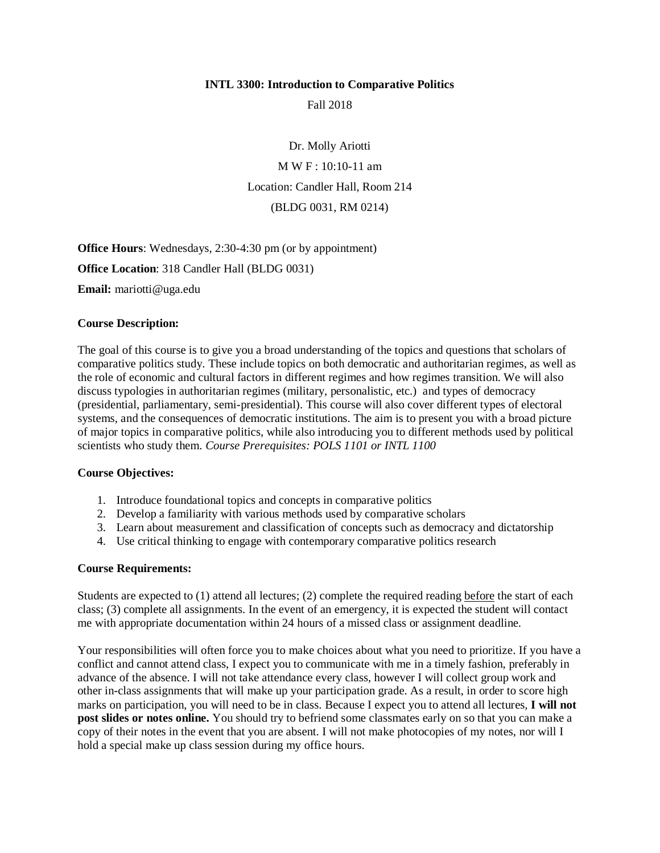### **INTL 3300: Introduction to Comparative Politics**

Fall 2018

Dr. Molly Ariotti M W F : 10:10-11 am Location: Candler Hall, Room 214 (BLDG 0031, RM 0214)

**Office Hours**: Wednesdays, 2:30-4:30 pm (or by appointment) **Office Location**: 318 Candler Hall (BLDG 0031)

**Email:** mariotti@uga.edu

### **Course Description:**

The goal of this course is to give you a broad understanding of the topics and questions that scholars of comparative politics study. These include topics on both democratic and authoritarian regimes, as well as the role of economic and cultural factors in different regimes and how regimes transition. We will also discuss typologies in authoritarian regimes (military, personalistic, etc.) and types of democracy (presidential, parliamentary, semi-presidential). This course will also cover different types of electoral systems, and the consequences of democratic institutions. The aim is to present you with a broad picture of major topics in comparative politics, while also introducing you to different methods used by political scientists who study them. *Course Prerequisites: POLS 1101 or INTL 1100*

#### **Course Objectives:**

- 1. Introduce foundational topics and concepts in comparative politics
- 2. Develop a familiarity with various methods used by comparative scholars
- 3. Learn about measurement and classification of concepts such as democracy and dictatorship
- 4. Use critical thinking to engage with contemporary comparative politics research

#### **Course Requirements:**

Students are expected to (1) attend all lectures; (2) complete the required reading before the start of each class; (3) complete all assignments. In the event of an emergency, it is expected the student will contact me with appropriate documentation within 24 hours of a missed class or assignment deadline.

Your responsibilities will often force you to make choices about what you need to prioritize. If you have a conflict and cannot attend class, I expect you to communicate with me in a timely fashion, preferably in advance of the absence. I will not take attendance every class, however I will collect group work and other in-class assignments that will make up your participation grade. As a result, in order to score high marks on participation, you will need to be in class. Because I expect you to attend all lectures, **I will not post slides or notes online.** You should try to befriend some classmates early on so that you can make a copy of their notes in the event that you are absent. I will not make photocopies of my notes, nor will I hold a special make up class session during my office hours.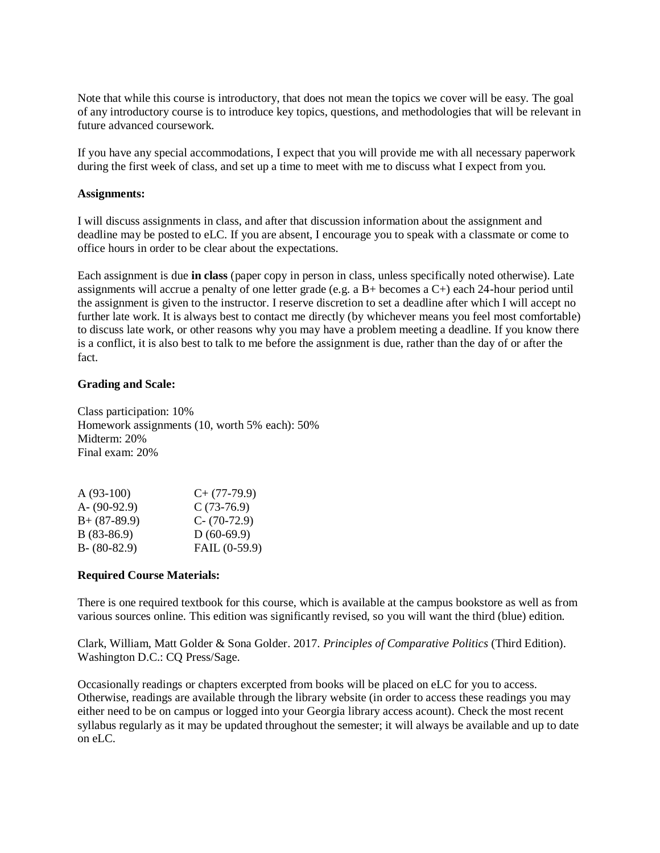Note that while this course is introductory, that does not mean the topics we cover will be easy. The goal of any introductory course is to introduce key topics, questions, and methodologies that will be relevant in future advanced coursework.

If you have any special accommodations, I expect that you will provide me with all necessary paperwork during the first week of class, and set up a time to meet with me to discuss what I expect from you.

### **Assignments:**

I will discuss assignments in class, and after that discussion information about the assignment and deadline may be posted to eLC. If you are absent, I encourage you to speak with a classmate or come to office hours in order to be clear about the expectations.

Each assignment is due **in class** (paper copy in person in class, unless specifically noted otherwise). Late assignments will accrue a penalty of one letter grade (e.g. a B+ becomes a C+) each 24-hour period until the assignment is given to the instructor. I reserve discretion to set a deadline after which I will accept no further late work. It is always best to contact me directly (by whichever means you feel most comfortable) to discuss late work, or other reasons why you may have a problem meeting a deadline. If you know there is a conflict, it is also best to talk to me before the assignment is due, rather than the day of or after the fact.

## **Grading and Scale:**

Class participation: 10% Homework assignments (10, worth 5% each): 50% Midterm: 20% Final exam: 20%

| $C+$ (77-79.9)  |
|-----------------|
| $C(73-76.9)$    |
| $C - (70-72.9)$ |
| $D(60-69.9)$    |
| FAIL (0-59.9)   |
|                 |

## **Required Course Materials:**

There is one required textbook for this course, which is available at the campus bookstore as well as from various sources online. This edition was significantly revised, so you will want the third (blue) edition.

Clark, William, Matt Golder & Sona Golder. 2017. *Principles of Comparative Politics* (Third Edition). Washington D.C.: CQ Press/Sage.

Occasionally readings or chapters excerpted from books will be placed on eLC for you to access. Otherwise, readings are available through the library website (in order to access these readings you may either need to be on campus or logged into your Georgia library access acount). Check the most recent syllabus regularly as it may be updated throughout the semester; it will always be available and up to date on eLC.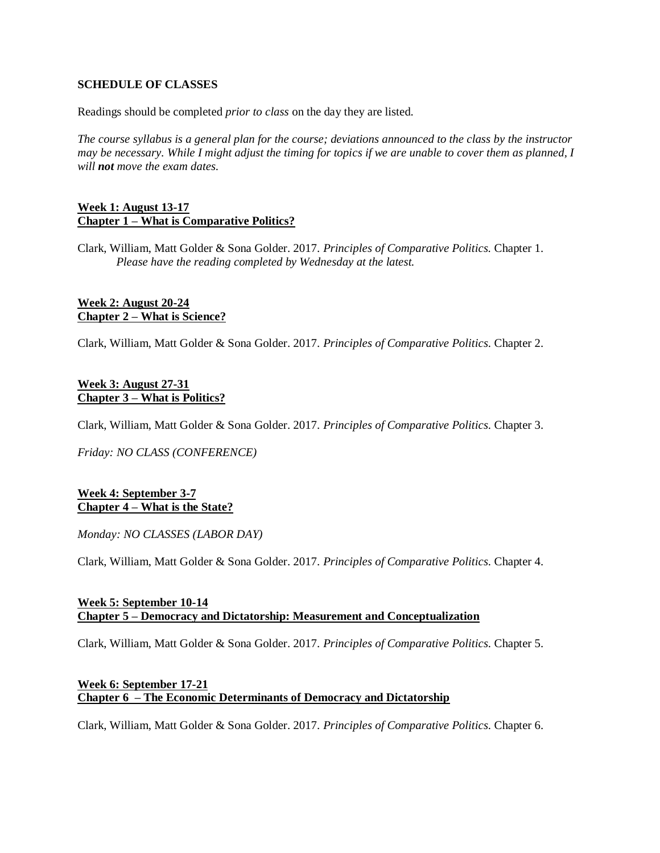## **SCHEDULE OF CLASSES**

Readings should be completed *prior to class* on the day they are listed.

*The course syllabus is a general plan for the course; deviations announced to the class by the instructor may be necessary. While I might adjust the timing for topics if we are unable to cover them as planned, I will not move the exam dates.*

## **Week 1: August 13-17 Chapter 1 – What is Comparative Politics?**

Clark, William, Matt Golder & Sona Golder. 2017. *Principles of Comparative Politics.* Chapter 1. *Please have the reading completed by Wednesday at the latest.*

## **Week 2: August 20-24 Chapter 2 – What is Science?**

Clark, William, Matt Golder & Sona Golder. 2017. *Principles of Comparative Politics.* Chapter 2.

### **Week 3: August 27-31 Chapter 3 – What is Politics?**

Clark, William, Matt Golder & Sona Golder. 2017. *Principles of Comparative Politics.* Chapter 3.

*Friday: NO CLASS (CONFERENCE)*

## **Week 4: September 3-7 Chapter 4 – What is the State?**

*Monday: NO CLASSES (LABOR DAY)*

Clark, William, Matt Golder & Sona Golder. 2017. *Principles of Comparative Politics.* Chapter 4.

### **Week 5: September 10-14 Chapter 5 – Democracy and Dictatorship: Measurement and Conceptualization**

Clark, William, Matt Golder & Sona Golder. 2017. *Principles of Comparative Politics.* Chapter 5.

# **Week 6: September 17-21 Chapter 6 – The Economic Determinants of Democracy and Dictatorship**

Clark, William, Matt Golder & Sona Golder. 2017. *Principles of Comparative Politics.* Chapter 6.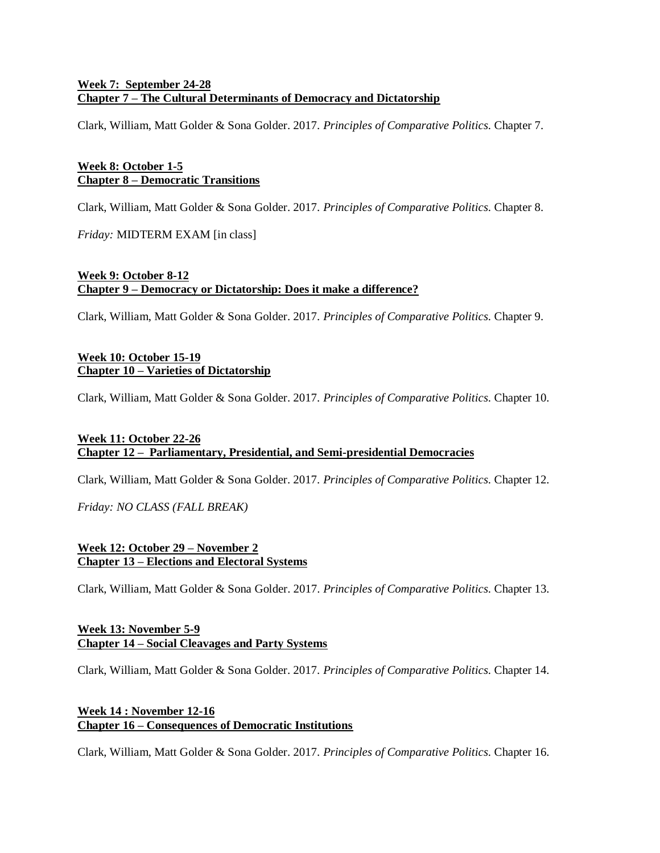# **Week 7: September 24-28 Chapter 7 – The Cultural Determinants of Democracy and Dictatorship**

Clark, William, Matt Golder & Sona Golder. 2017. *Principles of Comparative Politics.* Chapter 7.

# **Week 8: October 1-5 Chapter 8 – Democratic Transitions**

Clark, William, Matt Golder & Sona Golder. 2017. *Principles of Comparative Politics.* Chapter 8.

*Friday:* MIDTERM EXAM [in class]

## **Week 9: October 8-12 Chapter 9 – Democracy or Dictatorship: Does it make a difference?**

Clark, William, Matt Golder & Sona Golder. 2017. *Principles of Comparative Politics.* Chapter 9.

# **Week 10: October 15-19 Chapter 10 – Varieties of Dictatorship**

Clark, William, Matt Golder & Sona Golder. 2017. *Principles of Comparative Politics.* Chapter 10.

# **Week 11: October 22-26 Chapter 12 – Parliamentary, Presidential, and Semi-presidential Democracies**

Clark, William, Matt Golder & Sona Golder. 2017. *Principles of Comparative Politics.* Chapter 12.

*Friday: NO CLASS (FALL BREAK)*

# **Week 12: October 29 – November 2 Chapter 13 – Elections and Electoral Systems**

Clark, William, Matt Golder & Sona Golder. 2017. *Principles of Comparative Politics.* Chapter 13.

## **Week 13: November 5-9 Chapter 14 – Social Cleavages and Party Systems**

Clark, William, Matt Golder & Sona Golder. 2017. *Principles of Comparative Politics.* Chapter 14.

# **Week 14 : November 12-16 Chapter 16 – Consequences of Democratic Institutions**

Clark, William, Matt Golder & Sona Golder. 2017. *Principles of Comparative Politics.* Chapter 16.